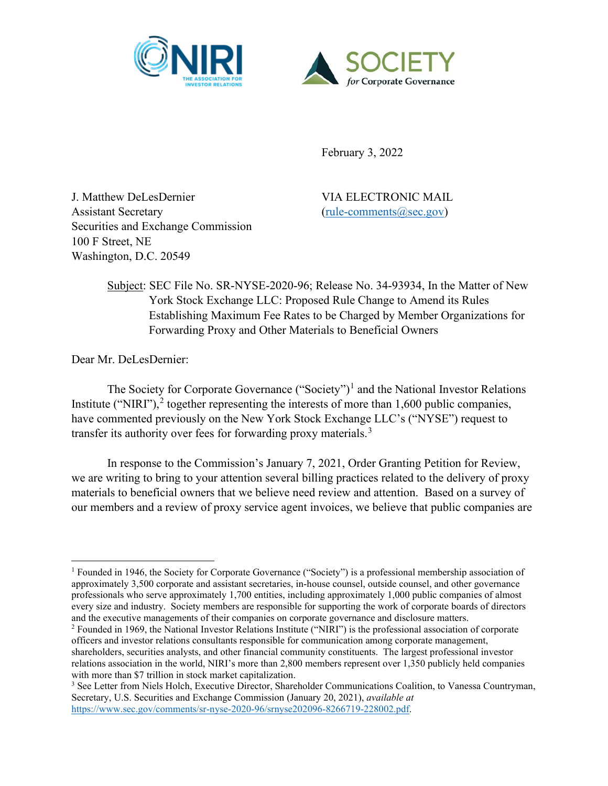



February 3, 2022

J. Matthew DeLesDernier VIA ELECTRONIC MAIL Assistant Secretary [\(rule-comments@sec.gov\)](mailto:rule-comments@sec.gov) Securities and Exchange Commission 100 F Street, NE Washington, D.C. 20549

Subject: SEC File No. SR-NYSE-2020-96; Release No. 34-93934, In the Matter of New York Stock Exchange LLC: Proposed Rule Change to Amend its Rules Establishing Maximum Fee Rates to be Charged by Member Organizations for Forwarding Proxy and Other Materials to Beneficial Owners

Dear Mr. DeLesDernier:

The Society for Corporate Governance ("Society")<sup>[1](#page-0-0)</sup> and the National Investor Relations Institute ("NIRI"),<sup>[2](#page-0-1)</sup> together representing the interests of more than 1,600 public companies, have commented previously on the New York Stock Exchange LLC's ("NYSE") request to transfer its authority over fees for forwarding proxy materials.<sup>[3](#page-0-2)</sup>

In response to the Commission's January 7, 2021, Order Granting Petition for Review, we are writing to bring to your attention several billing practices related to the delivery of proxy materials to beneficial owners that we believe need review and attention. Based on a survey of our members and a review of proxy service agent invoices, we believe that public companies are

<span id="page-0-0"></span><sup>&</sup>lt;sup>1</sup> Founded in 1946, the Society for Corporate Governance ("Society") is a professional membership association of approximately 3,500 corporate and assistant secretaries, in-house counsel, outside counsel, and other governance professionals who serve approximately 1,700 entities, including approximately 1,000 public companies of almost every size and industry. Society members are responsible for supporting the work of corporate boards of directors and the executive managements of their companies on corporate governance and disclosure matters.

<span id="page-0-1"></span><sup>2</sup> Founded in 1969, the National Investor Relations Institute ("NIRI") is the professional association of corporate officers and investor relations consultants responsible for communication among corporate management, shareholders, securities analysts, and other financial community constituents. The largest professional investor relations association in the world, NIRI's more than 2,800 members represent over 1,350 publicly held companies with more than \$7 trillion in stock market capitalization.

<span id="page-0-2"></span><sup>3</sup> See Letter from Niels Holch, Executive Director, Shareholder Communications Coalition, to Vanessa Countryman, Secretary, U.S. Securities and Exchange Commission (January 20, 2021), *available at* [https://www.sec.gov/comments/sr-nyse-2020-96/srnyse202096-8266719-228002.pdf.](https://www.sec.gov/comments/sr-nyse-2020-96/srnyse202096-8266719-228002.pdf)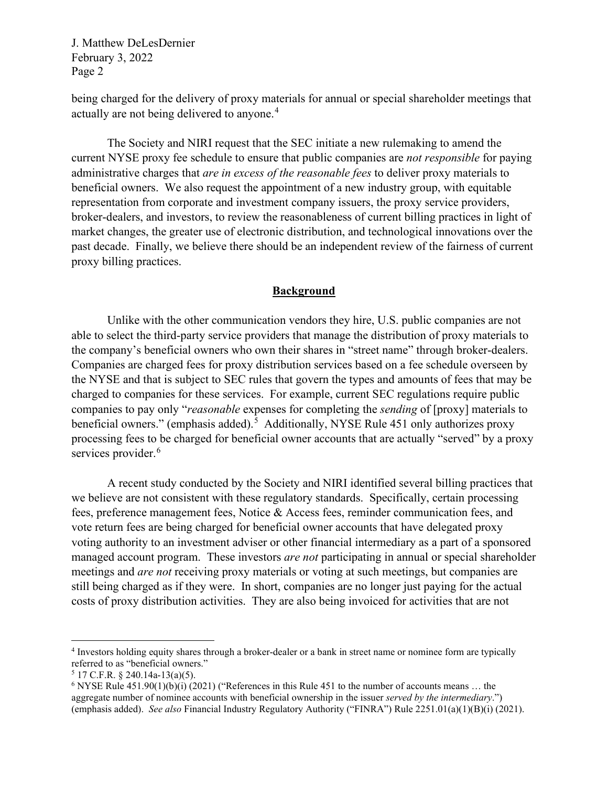being charged for the delivery of proxy materials for annual or special shareholder meetings that actually are not being delivered to anyone.<sup>[4](#page-1-0)</sup>

The Society and NIRI request that the SEC initiate a new rulemaking to amend the current NYSE proxy fee schedule to ensure that public companies are *not responsible* for paying administrative charges that *are in excess of the reasonable fees* to deliver proxy materials to beneficial owners. We also request the appointment of a new industry group, with equitable representation from corporate and investment company issuers, the proxy service providers, broker-dealers, and investors, to review the reasonableness of current billing practices in light of market changes, the greater use of electronic distribution, and technological innovations over the past decade. Finally, we believe there should be an independent review of the fairness of current proxy billing practices.

## **Background**

Unlike with the other communication vendors they hire, U.S. public companies are not able to select the third-party service providers that manage the distribution of proxy materials to the company's beneficial owners who own their shares in "street name" through broker-dealers. Companies are charged fees for proxy distribution services based on a fee schedule overseen by the NYSE and that is subject to SEC rules that govern the types and amounts of fees that may be charged to companies for these services. For example, current SEC regulations require public companies to pay only "*reasonable* expenses for completing the *sending* of [proxy] materials to beneficial owners." (emphasis added).<sup>[5](#page-1-1)</sup> Additionally, NYSE Rule 451 only authorizes proxy processing fees to be charged for beneficial owner accounts that are actually "served" by a proxy services provider.<sup>[6](#page-1-2)</sup>

A recent study conducted by the Society and NIRI identified several billing practices that we believe are not consistent with these regulatory standards. Specifically, certain processing fees, preference management fees, Notice & Access fees, reminder communication fees, and vote return fees are being charged for beneficial owner accounts that have delegated proxy voting authority to an investment adviser or other financial intermediary as a part of a sponsored managed account program. These investors *are not* participating in annual or special shareholder meetings and *are not* receiving proxy materials or voting at such meetings, but companies are still being charged as if they were. In short, companies are no longer just paying for the actual costs of proxy distribution activities. They are also being invoiced for activities that are not

<span id="page-1-0"></span><sup>4</sup> Investors holding equity shares through a broker-dealer or a bank in street name or nominee form are typically referred to as "beneficial owners."

<span id="page-1-1"></span> $5$  17 C.F.R. § 240.14a-13(a)(5).

<span id="page-1-2"></span><sup>&</sup>lt;sup>6</sup> NYSE Rule  $451.90(1)(b)(i)$  (2021) ("References in this Rule 451 to the number of accounts means ... the aggregate number of nominee accounts with beneficial ownership in the issuer *served by the intermediary*.") (emphasis added). *See also* Financial Industry Regulatory Authority ("FINRA") Rule 2251.01(a)(1)(B)(i) (2021).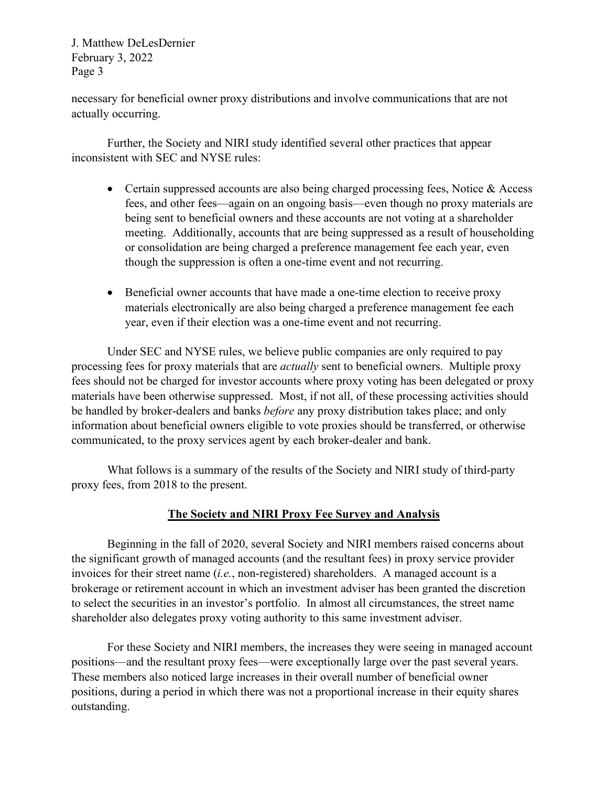necessary for beneficial owner proxy distributions and involve communications that are not actually occurring.

Further, the Society and NIRI study identified several other practices that appear inconsistent with SEC and NYSE rules:

- Certain suppressed accounts are also being charged processing fees, Notice & Access fees, and other fees—again on an ongoing basis—even though no proxy materials are being sent to beneficial owners and these accounts are not voting at a shareholder meeting. Additionally, accounts that are being suppressed as a result of householding or consolidation are being charged a preference management fee each year, even though the suppression is often a one-time event and not recurring.
- Beneficial owner accounts that have made a one-time election to receive proxy materials electronically are also being charged a preference management fee each year, even if their election was a one-time event and not recurring.

Under SEC and NYSE rules, we believe public companies are only required to pay processing fees for proxy materials that are *actually* sent to beneficial owners. Multiple proxy fees should not be charged for investor accounts where proxy voting has been delegated or proxy materials have been otherwise suppressed. Most, if not all, of these processing activities should be handled by broker-dealers and banks *before* any proxy distribution takes place; and only information about beneficial owners eligible to vote proxies should be transferred, or otherwise communicated, to the proxy services agent by each broker-dealer and bank.

What follows is a summary of the results of the Society and NIRI study of third-party proxy fees, from 2018 to the present.

## **The Society and NIRI Proxy Fee Survey and Analysis**

Beginning in the fall of 2020, several Society and NIRI members raised concerns about the significant growth of managed accounts (and the resultant fees) in proxy service provider invoices for their street name (*i.e.*, non-registered) shareholders. A managed account is a brokerage or retirement account in which an investment adviser has been granted the discretion to select the securities in an investor's portfolio. In almost all circumstances, the street name shareholder also delegates proxy voting authority to this same investment adviser.

For these Society and NIRI members, the increases they were seeing in managed account positions—and the resultant proxy fees—were exceptionally large over the past several years. These members also noticed large increases in their overall number of beneficial owner positions, during a period in which there was not a proportional increase in their equity shares outstanding.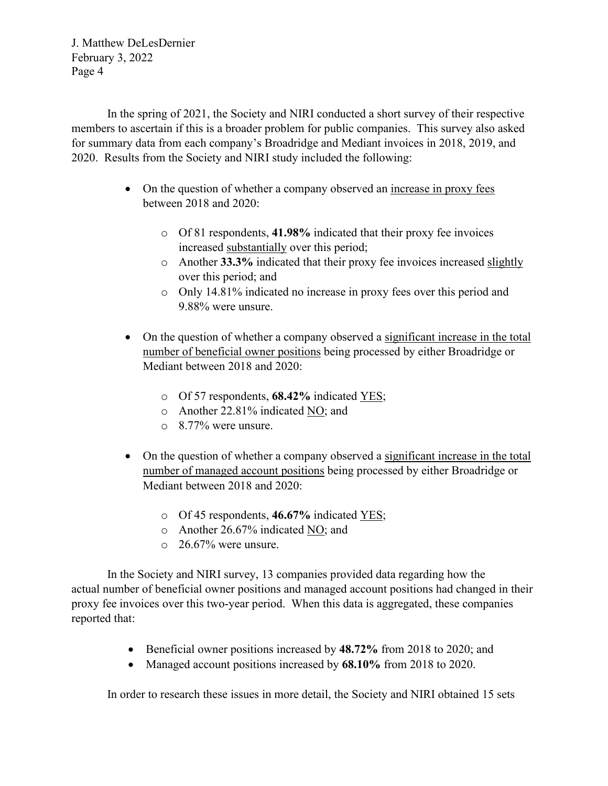In the spring of 2021, the Society and NIRI conducted a short survey of their respective members to ascertain if this is a broader problem for public companies. This survey also asked for summary data from each company's Broadridge and Mediant invoices in 2018, 2019, and 2020. Results from the Society and NIRI study included the following:

- On the question of whether a company observed an increase in proxy fees between 2018 and 2020:
	- o Of 81 respondents, **41.98%** indicated that their proxy fee invoices increased substantially over this period;
	- o Another **33.3%** indicated that their proxy fee invoices increased slightly over this period; and
	- o Only 14.81% indicated no increase in proxy fees over this period and 9.88% were unsure.
- On the question of whether a company observed a significant increase in the total number of beneficial owner positions being processed by either Broadridge or Mediant between 2018 and 2020:
	- o Of 57 respondents, **68.42%** indicated YES;
	- o Another 22.81% indicated NO; and
	- o 8.77% were unsure.
- On the question of whether a company observed a significant increase in the total number of managed account positions being processed by either Broadridge or Mediant between 2018 and 2020:
	- o Of 45 respondents, **46.67%** indicated YES;
	- o Another 26.67% indicated NO; and
	- o 26.67% were unsure.

In the Society and NIRI survey, 13 companies provided data regarding how the actual number of beneficial owner positions and managed account positions had changed in their proxy fee invoices over this two-year period. When this data is aggregated, these companies reported that:

- Beneficial owner positions increased by **48.72%** from 2018 to 2020; and
- Managed account positions increased by **68.10%** from 2018 to 2020.

In order to research these issues in more detail, the Society and NIRI obtained 15 sets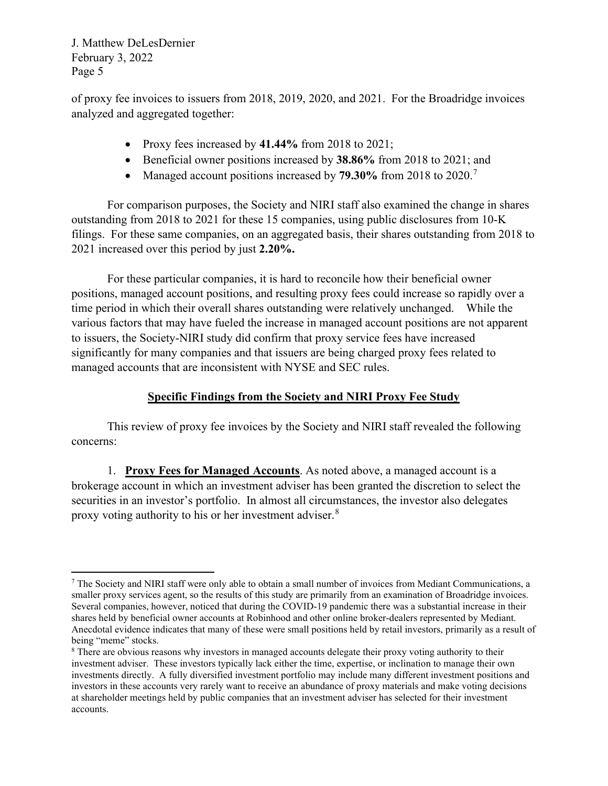of proxy fee invoices to issuers from 2018, 2019, 2020, and 2021. For the Broadridge invoices analyzed and aggregated together:

- Proxy fees increased by **41.44%** from 2018 to 2021;
- Beneficial owner positions increased by **38.86%** from 2018 to 2021; and
- Managed account positions increased by **[7](#page-4-0)9.30%** from 2018 to 2020.<sup>7</sup>

For comparison purposes, the Society and NIRI staff also examined the change in shares outstanding from 2018 to 2021 for these 15 companies, using public disclosures from 10-K filings. For these same companies, on an aggregated basis, their shares outstanding from 2018 to 2021 increased over this period by just **2.20%.**

For these particular companies, it is hard to reconcile how their beneficial owner positions, managed account positions, and resulting proxy fees could increase so rapidly over a time period in which their overall shares outstanding were relatively unchanged. While the various factors that may have fueled the increase in managed account positions are not apparent to issuers, the Society-NIRI study did confirm that proxy service fees have increased significantly for many companies and that issuers are being charged proxy fees related to managed accounts that are inconsistent with NYSE and SEC rules.

## **Specific Findings from the Society and NIRI Proxy Fee Study**

This review of proxy fee invoices by the Society and NIRI staff revealed the following concerns:

1. **Proxy Fees for Managed Accounts**. As noted above, a managed account is a brokerage account in which an investment adviser has been granted the discretion to select the securities in an investor's portfolio. In almost all circumstances, the investor also delegates proxy voting authority to his or her investment adviser.<sup>[8](#page-4-1)</sup>

<span id="page-4-0"></span><sup>7</sup> The Society and NIRI staff were only able to obtain a small number of invoices from Mediant Communications, a smaller proxy services agent, so the results of this study are primarily from an examination of Broadridge invoices. Several companies, however, noticed that during the COVID-19 pandemic there was a substantial increase in their shares held by beneficial owner accounts at Robinhood and other online broker-dealers represented by Mediant. Anecdotal evidence indicates that many of these were small positions held by retail investors, primarily as a result of being "meme" stocks.

<span id="page-4-1"></span><sup>&</sup>lt;sup>8</sup> There are obvious reasons why investors in managed accounts delegate their proxy voting authority to their investment adviser. These investors typically lack either the time, expertise, or inclination to manage their own investments directly. A fully diversified investment portfolio may include many different investment positions and investors in these accounts very rarely want to receive an abundance of proxy materials and make voting decisions at shareholder meetings held by public companies that an investment adviser has selected for their investment accounts.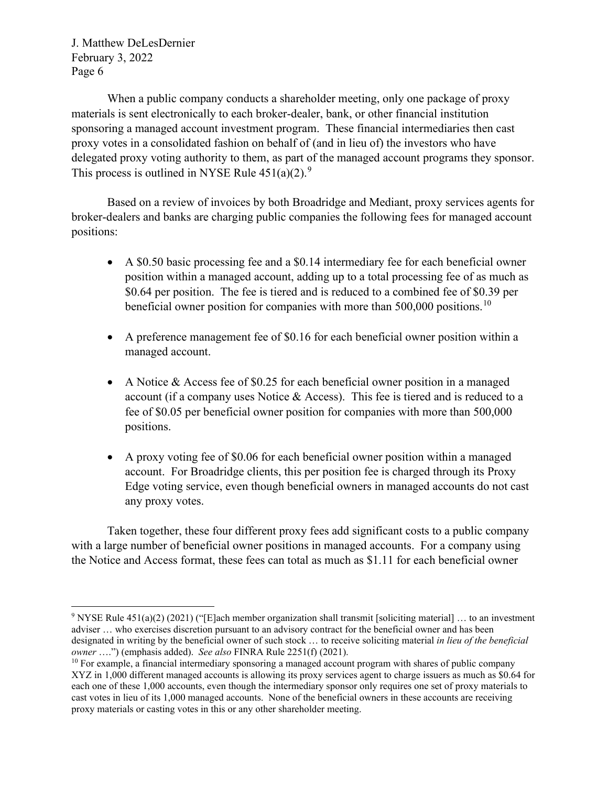When a public company conducts a shareholder meeting, only one package of proxy materials is sent electronically to each broker-dealer, bank, or other financial institution sponsoring a managed account investment program. These financial intermediaries then cast proxy votes in a consolidated fashion on behalf of (and in lieu of) the investors who have delegated proxy voting authority to them, as part of the managed account programs they sponsor. This process is outlined in NYSE Rule  $451(a)(2)$ .<sup>[9](#page-5-0)</sup>

Based on a review of invoices by both Broadridge and Mediant, proxy services agents for broker-dealers and banks are charging public companies the following fees for managed account positions:

- A \$0.50 basic processing fee and a \$0.14 intermediary fee for each beneficial owner position within a managed account, adding up to a total processing fee of as much as \$0.64 per position. The fee is tiered and is reduced to a combined fee of \$0.39 per beneficial owner position for companies with more than 500,000 positions.<sup>[10](#page-5-1)</sup>
- A preference management fee of \$0.16 for each beneficial owner position within a managed account.
- A Notice & Access fee of \$0.25 for each beneficial owner position in a managed account (if a company uses Notice & Access). This fee is tiered and is reduced to a fee of \$0.05 per beneficial owner position for companies with more than 500,000 positions.
- A proxy voting fee of \$0.06 for each beneficial owner position within a managed account. For Broadridge clients, this per position fee is charged through its Proxy Edge voting service, even though beneficial owners in managed accounts do not cast any proxy votes.

Taken together, these four different proxy fees add significant costs to a public company with a large number of beneficial owner positions in managed accounts. For a company using the Notice and Access format, these fees can total as much as \$1.11 for each beneficial owner

<span id="page-5-0"></span><sup>9</sup> NYSE Rule 451(a)(2) (2021) ("[E]ach member organization shall transmit [soliciting material] … to an investment adviser … who exercises discretion pursuant to an advisory contract for the beneficial owner and has been designated in writing by the beneficial owner of such stock … to receive soliciting material *in lieu of the beneficial owner* ….") (emphasis added). *See also* FINRA Rule 2251(f) (2021).

<span id="page-5-1"></span> $10$  For example, a financial intermediary sponsoring a managed account program with shares of public company XYZ in 1,000 different managed accounts is allowing its proxy services agent to charge issuers as much as \$0.64 for each one of these 1,000 accounts, even though the intermediary sponsor only requires one set of proxy materials to cast votes in lieu of its 1,000 managed accounts. None of the beneficial owners in these accounts are receiving proxy materials or casting votes in this or any other shareholder meeting.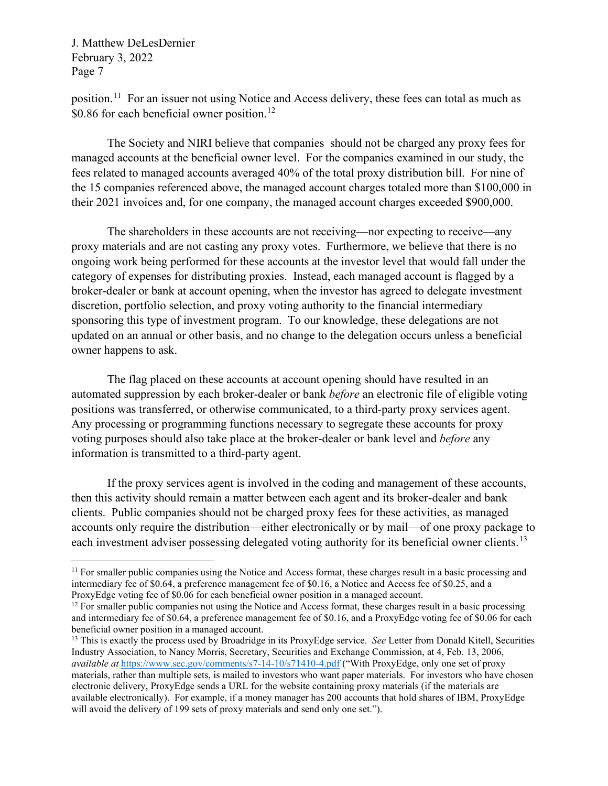position.[11](#page-6-0) For an issuer not using Notice and Access delivery, these fees can total as much as \$0.86 for each beneficial owner position.<sup>[12](#page-6-1)</sup>

The Society and NIRI believe that companies should not be charged any proxy fees for managed accounts at the beneficial owner level. For the companies examined in our study, the fees related to managed accounts averaged 40% of the total proxy distribution bill. For nine of the 15 companies referenced above, the managed account charges totaled more than \$100,000 in their 2021 invoices and, for one company, the managed account charges exceeded \$900,000.

The shareholders in these accounts are not receiving—nor expecting to receive—any proxy materials and are not casting any proxy votes. Furthermore, we believe that there is no ongoing work being performed for these accounts at the investor level that would fall under the category of expenses for distributing proxies. Instead, each managed account is flagged by a broker-dealer or bank at account opening, when the investor has agreed to delegate investment discretion, portfolio selection, and proxy voting authority to the financial intermediary sponsoring this type of investment program. To our knowledge, these delegations are not updated on an annual or other basis, and no change to the delegation occurs unless a beneficial owner happens to ask.

The flag placed on these accounts at account opening should have resulted in an automated suppression by each broker-dealer or bank *before* an electronic file of eligible voting positions was transferred, or otherwise communicated, to a third-party proxy services agent. Any processing or programming functions necessary to segregate these accounts for proxy voting purposes should also take place at the broker-dealer or bank level and *before* any information is transmitted to a third-party agent.

If the proxy services agent is involved in the coding and management of these accounts, then this activity should remain a matter between each agent and its broker-dealer and bank clients. Public companies should not be charged proxy fees for these activities, as managed accounts only require the distribution—either electronically or by mail—of one proxy package to each investment adviser possessing delegated voting authority for its beneficial owner clients.<sup>[13](#page-6-2)</sup>

<span id="page-6-0"></span><sup>&</sup>lt;sup>11</sup> For smaller public companies using the Notice and Access format, these charges result in a basic processing and intermediary fee of \$0.64, a preference management fee of \$0.16, a Notice and Access fee of \$0.25, and a ProxyEdge voting fee of \$0.06 for each beneficial owner position in a managed account.

<span id="page-6-1"></span><sup>&</sup>lt;sup>12</sup> For smaller public companies not using the Notice and Access format, these charges result in a basic processing and intermediary fee of \$0.64, a preference management fee of \$0.16, and a ProxyEdge voting fee of \$0.06 for each beneficial owner position in a managed account.

<span id="page-6-2"></span><sup>13</sup> This is exactly the process used by Broadridge in its ProxyEdge service. *See* Letter from Donald Kitell, Securities Industry Association, to Nancy Morris, Secretary, Securities and Exchange Commission, at 4, Feb. 13, 2006, *available at* <https://www.sec.gov/comments/s7-14-10/s71410-4.pdf> ("With ProxyEdge, only one set of proxy materials, rather than multiple sets, is mailed to investors who want paper materials. For investors who have chosen electronic delivery, ProxyEdge sends a URL for the website containing proxy materials (if the materials are available electronically). For example, if a money manager has 200 accounts that hold shares of IBM, ProxyEdge will avoid the delivery of 199 sets of proxy materials and send only one set.").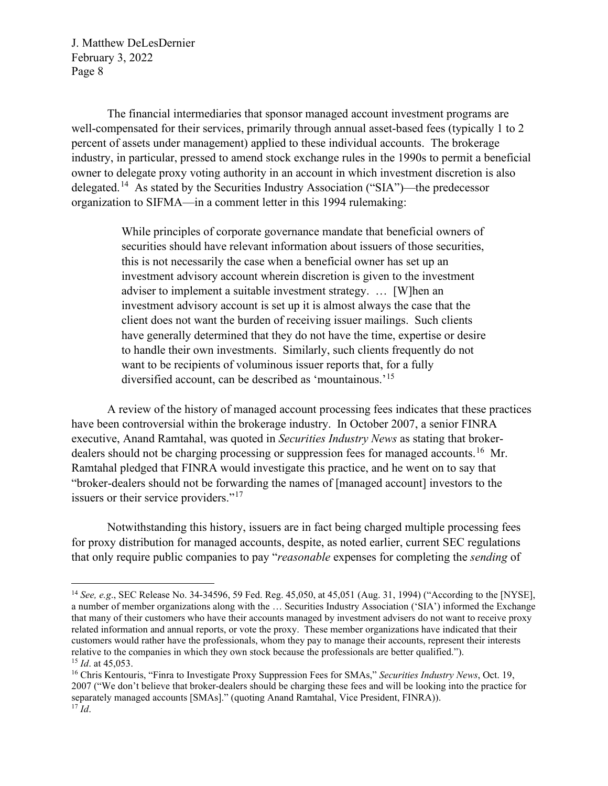The financial intermediaries that sponsor managed account investment programs are well-compensated for their services, primarily through annual asset-based fees (typically 1 to 2 percent of assets under management) applied to these individual accounts. The brokerage industry, in particular, pressed to amend stock exchange rules in the 1990s to permit a beneficial owner to delegate proxy voting authority in an account in which investment discretion is also delegated.[14](#page-7-0) As stated by the Securities Industry Association ("SIA")—the predecessor organization to SIFMA—in a comment letter in this 1994 rulemaking:

> While principles of corporate governance mandate that beneficial owners of securities should have relevant information about issuers of those securities, this is not necessarily the case when a beneficial owner has set up an investment advisory account wherein discretion is given to the investment adviser to implement a suitable investment strategy. … [W]hen an investment advisory account is set up it is almost always the case that the client does not want the burden of receiving issuer mailings. Such clients have generally determined that they do not have the time, expertise or desire to handle their own investments. Similarly, such clients frequently do not want to be recipients of voluminous issuer reports that, for a fully diversified account, can be described as 'mountainous.'[15](#page-7-1)

A review of the history of managed account processing fees indicates that these practices have been controversial within the brokerage industry. In October 2007, a senior FINRA executive, Anand Ramtahal, was quoted in *Securities Industry News* as stating that brokerdealers should not be charging processing or suppression fees for managed accounts.<sup>16</sup> Mr. Ramtahal pledged that FINRA would investigate this practice, and he went on to say that "broker-dealers should not be forwarding the names of [managed account] investors to the issuers or their service providers."<sup>[17](#page-7-3)</sup>

Notwithstanding this history, issuers are in fact being charged multiple processing fees for proxy distribution for managed accounts, despite, as noted earlier, current SEC regulations that only require public companies to pay "*reasonable* expenses for completing the *sending* of

<span id="page-7-0"></span><sup>14</sup> *See, e.g*., SEC Release No. 34-34596, 59 Fed. Reg. 45,050, at 45,051 (Aug. 31, 1994) ("According to the [NYSE], a number of member organizations along with the … Securities Industry Association ('SIA') informed the Exchange that many of their customers who have their accounts managed by investment advisers do not want to receive proxy related information and annual reports, or vote the proxy. These member organizations have indicated that their customers would rather have the professionals, whom they pay to manage their accounts, represent their interests relative to the companies in which they own stock because the professionals are better qualified."). <sup>15</sup> *Id*. at 45,053.

<span id="page-7-3"></span><span id="page-7-2"></span><span id="page-7-1"></span><sup>16</sup> Chris Kentouris, "Finra to Investigate Proxy Suppression Fees for SMAs," *Securities Industry News*, Oct. 19, 2007 ("We don't believe that broker-dealers should be charging these fees and will be looking into the practice for separately managed accounts [SMAs]." (quoting Anand Ramtahal, Vice President, FINRA)). <sup>17</sup> *Id*.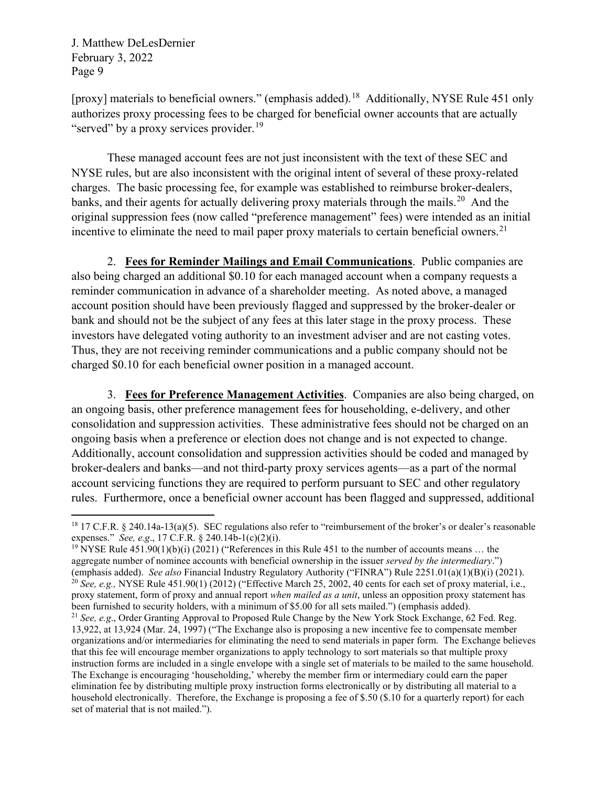[proxy] materials to beneficial owners." (emphasis added).<sup>18</sup> Additionally, NYSE Rule 451 only authorizes proxy processing fees to be charged for beneficial owner accounts that are actually "served" by a proxy services provider.<sup>[19](#page-8-1)</sup>

These managed account fees are not just inconsistent with the text of these SEC and NYSE rules, but are also inconsistent with the original intent of several of these proxy-related charges. The basic processing fee, for example was established to reimburse broker-dealers, banks, and their agents for actually delivering proxy materials through the mails.<sup>[20](#page-8-2)</sup> And the original suppression fees (now called "preference management" fees) were intended as an initial incentive to eliminate the need to mail paper proxy materials to certain beneficial owners.<sup>[21](#page-8-3)</sup>

2. **Fees for Reminder Mailings and Email Communications**. Public companies are also being charged an additional \$0.10 for each managed account when a company requests a reminder communication in advance of a shareholder meeting. As noted above, a managed account position should have been previously flagged and suppressed by the broker-dealer or bank and should not be the subject of any fees at this later stage in the proxy process. These investors have delegated voting authority to an investment adviser and are not casting votes. Thus, they are not receiving reminder communications and a public company should not be charged \$0.10 for each beneficial owner position in a managed account.

3. **Fees for Preference Management Activities**. Companies are also being charged, on an ongoing basis, other preference management fees for householding, e-delivery, and other consolidation and suppression activities. These administrative fees should not be charged on an ongoing basis when a preference or election does not change and is not expected to change. Additionally, account consolidation and suppression activities should be coded and managed by broker-dealers and banks—and not third-party proxy services agents—as a part of the normal account servicing functions they are required to perform pursuant to SEC and other regulatory rules. Furthermore, once a beneficial owner account has been flagged and suppressed, additional

<span id="page-8-2"></span><span id="page-8-1"></span><sup>19</sup> NYSE Rule 451.90(1)(b)(i) (2021) ("References in this Rule 451 to the number of accounts means ... the aggregate number of nominee accounts with beneficial ownership in the issuer *served by the intermediary*.") (emphasis added). *See also* Financial Industry Regulatory Authority ("FINRA") Rule 2251.01(a)(1)(B)(i) (2021). <sup>20</sup> *See, e.g.,* NYSE Rule 451.90(1) (2012) ("Effective March 25, 2002, 40 cents for each set of proxy material, i.e., proxy statement, form of proxy and annual report *when mailed as a unit*, unless an opposition proxy statement has been furnished to security holders, with a minimum of \$5.00 for all sets mailed.") (emphasis added). <sup>21</sup> *See, e.g*., Order Granting Approval to Proposed Rule Change by the New York Stock Exchange, 62 Fed. Reg.

<span id="page-8-3"></span>13,922, at 13,924 (Mar. 24, 1997) ("The Exchange also is proposing a new incentive fee to compensate member organizations and/or intermediaries for eliminating the need to send materials in paper form. The Exchange believes that this fee will encourage member organizations to apply technology to sort materials so that multiple proxy instruction forms are included in a single envelope with a single set of materials to be mailed to the same household. The Exchange is encouraging 'householding,' whereby the member firm or intermediary could earn the paper elimination fee by distributing multiple proxy instruction forms electronically or by distributing all material to a household electronically. Therefore, the Exchange is proposing a fee of \$.50 (\$.10 for a quarterly report) for each set of material that is not mailed.").

<span id="page-8-0"></span><sup>&</sup>lt;sup>18</sup> 17 C.F.R. § 240.14a-13(a)(5). SEC regulations also refer to "reimbursement of the broker's or dealer's reasonable expenses." *See, e.g*., 17 C.F.R. § 240.14b-1(c)(2)(i).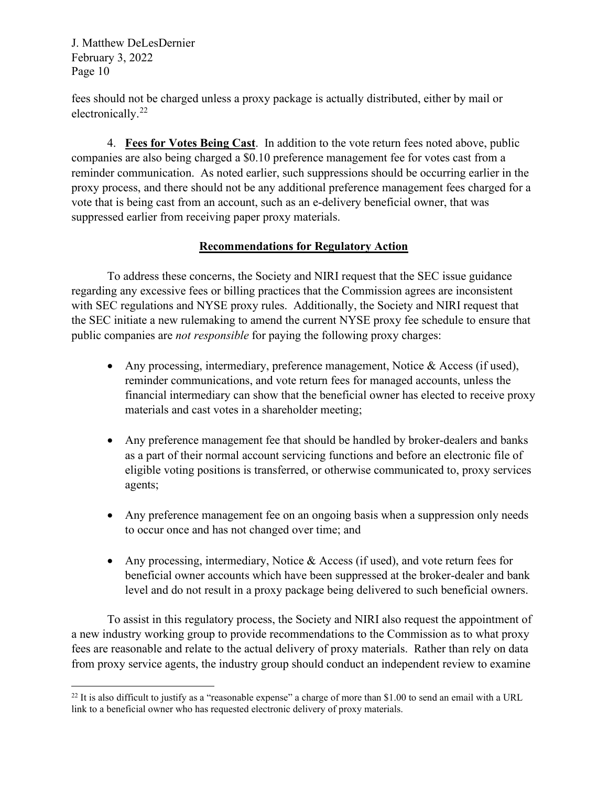fees should not be charged unless a proxy package is actually distributed, either by mail or electronically.<sup>[22](#page-9-0)</sup>

4. **Fees for Votes Being Cast**. In addition to the vote return fees noted above, public companies are also being charged a \$0.10 preference management fee for votes cast from a reminder communication. As noted earlier, such suppressions should be occurring earlier in the proxy process, and there should not be any additional preference management fees charged for a vote that is being cast from an account, such as an e-delivery beneficial owner, that was suppressed earlier from receiving paper proxy materials.

## **Recommendations for Regulatory Action**

To address these concerns, the Society and NIRI request that the SEC issue guidance regarding any excessive fees or billing practices that the Commission agrees are inconsistent with SEC regulations and NYSE proxy rules. Additionally, the Society and NIRI request that the SEC initiate a new rulemaking to amend the current NYSE proxy fee schedule to ensure that public companies are *not responsible* for paying the following proxy charges:

- Any processing, intermediary, preference management, Notice & Access (if used), reminder communications, and vote return fees for managed accounts, unless the financial intermediary can show that the beneficial owner has elected to receive proxy materials and cast votes in a shareholder meeting;
- Any preference management fee that should be handled by broker-dealers and banks as a part of their normal account servicing functions and before an electronic file of eligible voting positions is transferred, or otherwise communicated to, proxy services agents;
- Any preference management fee on an ongoing basis when a suppression only needs to occur once and has not changed over time; and
- Any processing, intermediary, Notice & Access (if used), and vote return fees for beneficial owner accounts which have been suppressed at the broker-dealer and bank level and do not result in a proxy package being delivered to such beneficial owners.

To assist in this regulatory process, the Society and NIRI also request the appointment of a new industry working group to provide recommendations to the Commission as to what proxy fees are reasonable and relate to the actual delivery of proxy materials. Rather than rely on data from proxy service agents, the industry group should conduct an independent review to examine

<span id="page-9-0"></span> $22$  It is also difficult to justify as a "reasonable expense" a charge of more than \$1.00 to send an email with a URL link to a beneficial owner who has requested electronic delivery of proxy materials.